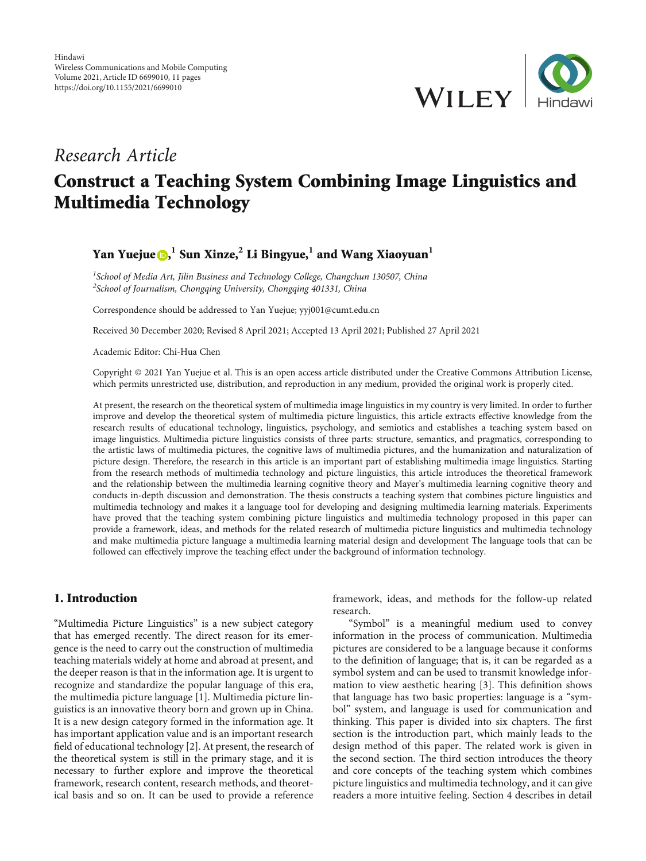

# Research Article Construct a Teaching System Combining Image Linguistics and Multimedia Technology

## Yan Yuejue , **<sup>1</sup>** Sun Xinze,**<sup>2</sup>** Li Bingyue,**<sup>1</sup>** and Wang Xiaoyuan**<sup>1</sup>**

<sup>1</sup>School of Media Art, Jilin Business and Technology College, Changchun 130507, China <sup>2</sup> School of Journalism, Chongqing University, Chongqing 401331, China

Correspondence should be addressed to Yan Yuejue; yyj001@cumt.edu.cn

Received 30 December 2020; Revised 8 April 2021; Accepted 13 April 2021; Published 27 April 2021

Academic Editor: Chi-Hua Chen

Copyright © 2021 Yan Yuejue et al. This is an open access article distributed under the [Creative Commons Attribution License,](https://creativecommons.org/licenses/by/4.0/) which permits unrestricted use, distribution, and reproduction in any medium, provided the original work is properly cited.

At present, the research on the theoretical system of multimedia image linguistics in my country is very limited. In order to further improve and develop the theoretical system of multimedia picture linguistics, this article extracts effective knowledge from the research results of educational technology, linguistics, psychology, and semiotics and establishes a teaching system based on image linguistics. Multimedia picture linguistics consists of three parts: structure, semantics, and pragmatics, corresponding to the artistic laws of multimedia pictures, the cognitive laws of multimedia pictures, and the humanization and naturalization of picture design. Therefore, the research in this article is an important part of establishing multimedia image linguistics. Starting from the research methods of multimedia technology and picture linguistics, this article introduces the theoretical framework and the relationship between the multimedia learning cognitive theory and Mayer's multimedia learning cognitive theory and conducts in-depth discussion and demonstration. The thesis constructs a teaching system that combines picture linguistics and multimedia technology and makes it a language tool for developing and designing multimedia learning materials. Experiments have proved that the teaching system combining picture linguistics and multimedia technology proposed in this paper can provide a framework, ideas, and methods for the related research of multimedia picture linguistics and multimedia technology and make multimedia picture language a multimedia learning material design and development The language tools that can be followed can effectively improve the teaching effect under the background of information technology.

## 1. Introduction

"Multimedia Picture Linguistics" is a new subject category that has emerged recently. The direct reason for its emergence is the need to carry out the construction of multimedia teaching materials widely at home and abroad at present, and the deeper reason is that in the information age. It is urgent to recognize and standardize the popular language of this era, the multimedia picture language [[1](#page-9-0)]. Multimedia picture linguistics is an innovative theory born and grown up in China. It is a new design category formed in the information age. It has important application value and is an important research field of educational technology [\[2\]](#page-9-0). At present, the research of the theoretical system is still in the primary stage, and it is necessary to further explore and improve the theoretical framework, research content, research methods, and theoretical basis and so on. It can be used to provide a reference

framework, ideas, and methods for the follow-up related research.

"Symbol" is a meaningful medium used to convey information in the process of communication. Multimedia pictures are considered to be a language because it conforms to the definition of language; that is, it can be regarded as a symbol system and can be used to transmit knowledge information to view aesthetic hearing [[3](#page-9-0)]. This definition shows that language has two basic properties: language is a "symbol" system, and language is used for communication and thinking. This paper is divided into six chapters. The first section is the introduction part, which mainly leads to the design method of this paper. The related work is given in the second section. The third section introduces the theory and core concepts of the teaching system which combines picture linguistics and multimedia technology, and it can give readers a more intuitive feeling. Section [4](#page-4-0) describes in detail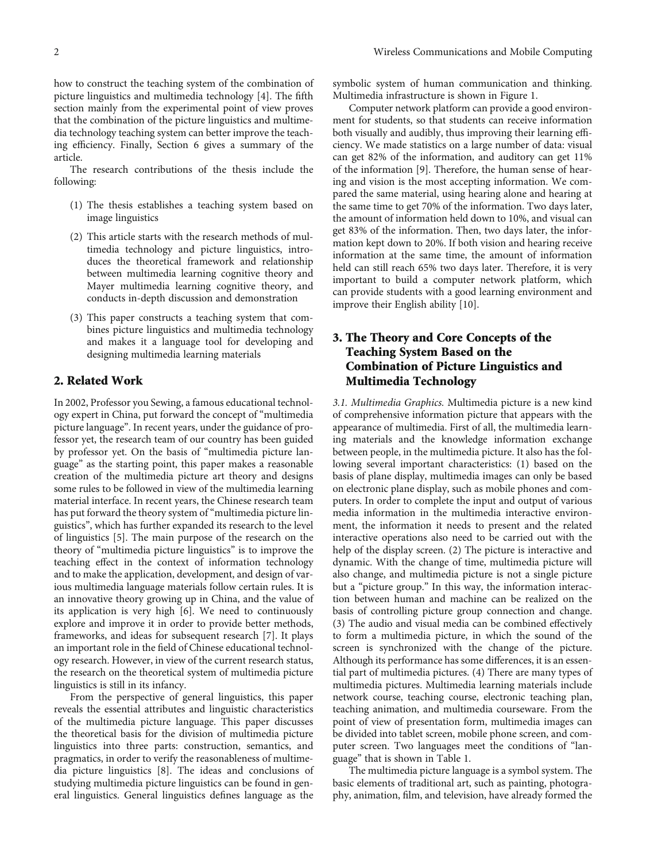how to construct the teaching system of the combination of picture linguistics and multimedia technology [\[4\]](#page-9-0). The fifth section mainly from the experimental point of view proves that the combination of the picture linguistics and multimedia technology teaching system can better improve the teaching efficiency. Finally, Section [6](#page-9-0) gives a summary of the article.

The research contributions of the thesis include the following:

- (1) The thesis establishes a teaching system based on image linguistics
- (2) This article starts with the research methods of multimedia technology and picture linguistics, introduces the theoretical framework and relationship between multimedia learning cognitive theory and Mayer multimedia learning cognitive theory, and conducts in-depth discussion and demonstration
- (3) This paper constructs a teaching system that combines picture linguistics and multimedia technology and makes it a language tool for developing and designing multimedia learning materials

## 2. Related Work

In 2002, Professor you Sewing, a famous educational technology expert in China, put forward the concept of "multimedia picture language". In recent years, under the guidance of professor yet, the research team of our country has been guided by professor yet. On the basis of "multimedia picture language" as the starting point, this paper makes a reasonable creation of the multimedia picture art theory and designs some rules to be followed in view of the multimedia learning material interface. In recent years, the Chinese research team has put forward the theory system of "multimedia picture linguistics", which has further expanded its research to the level of linguistics [\[5](#page-9-0)]. The main purpose of the research on the theory of "multimedia picture linguistics" is to improve the teaching effect in the context of information technology and to make the application, development, and design of various multimedia language materials follow certain rules. It is an innovative theory growing up in China, and the value of its application is very high [\[6](#page-9-0)]. We need to continuously explore and improve it in order to provide better methods, frameworks, and ideas for subsequent research [\[7](#page-9-0)]. It plays an important role in the field of Chinese educational technology research. However, in view of the current research status, the research on the theoretical system of multimedia picture linguistics is still in its infancy.

From the perspective of general linguistics, this paper reveals the essential attributes and linguistic characteristics of the multimedia picture language. This paper discusses the theoretical basis for the division of multimedia picture linguistics into three parts: construction, semantics, and pragmatics, in order to verify the reasonableness of multimedia picture linguistics [\[8](#page-9-0)]. The ideas and conclusions of studying multimedia picture linguistics can be found in general linguistics. General linguistics defines language as the

symbolic system of human communication and thinking. Multimedia infrastructure is shown in Figure [1](#page-2-0).

Computer network platform can provide a good environment for students, so that students can receive information both visually and audibly, thus improving their learning efficiency. We made statistics on a large number of data: visual can get 82% of the information, and auditory can get 11% of the information [[9\]](#page-10-0). Therefore, the human sense of hearing and vision is the most accepting information. We compared the same material, using hearing alone and hearing at the same time to get 70% of the information. Two days later, the amount of information held down to 10%, and visual can get 83% of the information. Then, two days later, the information kept down to 20%. If both vision and hearing receive information at the same time, the amount of information held can still reach 65% two days later. Therefore, it is very important to build a computer network platform, which can provide students with a good learning environment and improve their English ability [[10](#page-10-0)].

## 3. The Theory and Core Concepts of the Teaching System Based on the Combination of Picture Linguistics and Multimedia Technology

3.1. Multimedia Graphics. Multimedia picture is a new kind of comprehensive information picture that appears with the appearance of multimedia. First of all, the multimedia learning materials and the knowledge information exchange between people, in the multimedia picture. It also has the following several important characteristics: (1) based on the basis of plane display, multimedia images can only be based on electronic plane display, such as mobile phones and computers. In order to complete the input and output of various media information in the multimedia interactive environment, the information it needs to present and the related interactive operations also need to be carried out with the help of the display screen. (2) The picture is interactive and dynamic. With the change of time, multimedia picture will also change, and multimedia picture is not a single picture but a "picture group." In this way, the information interaction between human and machine can be realized on the basis of controlling picture group connection and change. (3) The audio and visual media can be combined effectively to form a multimedia picture, in which the sound of the screen is synchronized with the change of the picture. Although its performance has some differences, it is an essential part of multimedia pictures. (4) There are many types of multimedia pictures. Multimedia learning materials include network course, teaching course, electronic teaching plan, teaching animation, and multimedia courseware. From the point of view of presentation form, multimedia images can be divided into tablet screen, mobile phone screen, and computer screen. Two languages meet the conditions of "language" that is shown in Table [1](#page-2-0).

The multimedia picture language is a symbol system. The basic elements of traditional art, such as painting, photography, animation, film, and television, have already formed the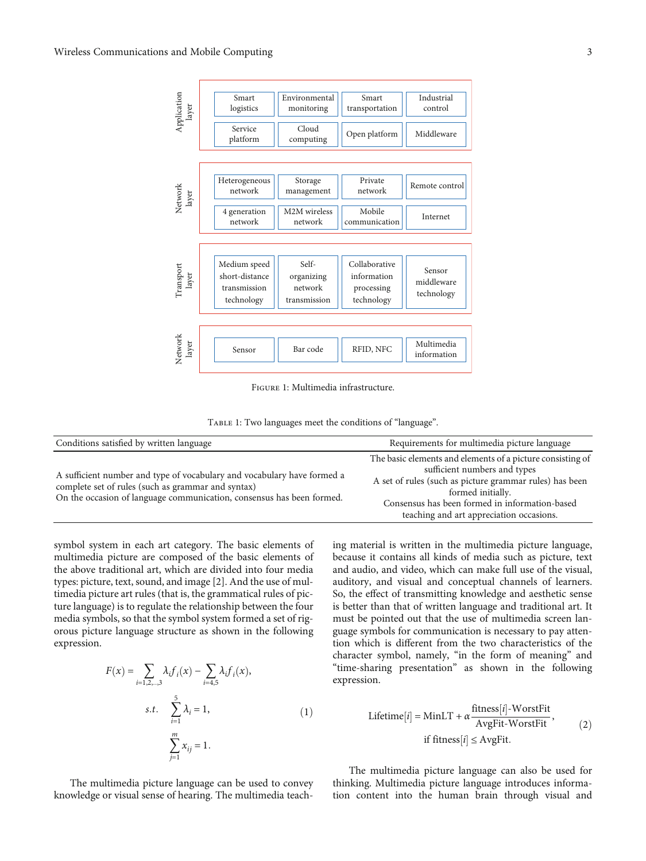<span id="page-2-0"></span>

Figure 1: Multimedia infrastructure.

Table 1: Two languages meet the conditions of "language".

| Conditions satisfied by written language                                                                                                                                                               | Requirements for multimedia picture language                                                                                                                                                                                                                             |
|--------------------------------------------------------------------------------------------------------------------------------------------------------------------------------------------------------|--------------------------------------------------------------------------------------------------------------------------------------------------------------------------------------------------------------------------------------------------------------------------|
| A sufficient number and type of vocabulary and vocabulary have formed a<br>complete set of rules (such as grammar and syntax)<br>On the occasion of language communication, consensus has been formed. | The basic elements and elements of a picture consisting of<br>sufficient numbers and types<br>A set of rules (such as picture grammar rules) has been<br>formed initially.<br>Consensus has been formed in information-based<br>teaching and art appreciation occasions. |

symbol system in each art category. The basic elements of multimedia picture are composed of the basic elements of the above traditional art, which are divided into four media types: picture, text, sound, and image [[2](#page-9-0)]. And the use of multimedia picture art rules (that is, the grammatical rules of picture language) is to regulate the relationship between the four media symbols, so that the symbol system formed a set of rigorous picture language structure as shown in the following expression.

$$
F(x) = \sum_{i=1,2,...,3} \lambda_i f_i(x) - \sum_{i=4,5} \lambda_i f_i(x),
$$
  
s.t. 
$$
\sum_{i=1}^{5} \lambda_i = 1,
$$
  

$$
\sum_{j=1}^{m} x_{ij} = 1.
$$
 (1)

The multimedia picture language can be used to convey knowledge or visual sense of hearing. The multimedia teaching material is written in the multimedia picture language, because it contains all kinds of media such as picture, text and audio, and video, which can make full use of the visual, auditory, and visual and conceptual channels of learners. So, the effect of transmitting knowledge and aesthetic sense is better than that of written language and traditional art. It must be pointed out that the use of multimedia screen language symbols for communication is necessary to pay attention which is different from the two characteristics of the character symbol, namely, "in the form of meaning" and "time-sharing presentation" as shown in the following expression.

Lifetime[i] = MinLT + 
$$
\alpha \frac{\text{fitness}[i] - \text{WorstFit}}{\text{AvgFit - \text{WorstFit}}},
$$

\nif fitness[i]  $\leq \text{AvgFit}.$ 

\n(2)

The multimedia picture language can also be used for thinking. Multimedia picture language introduces information content into the human brain through visual and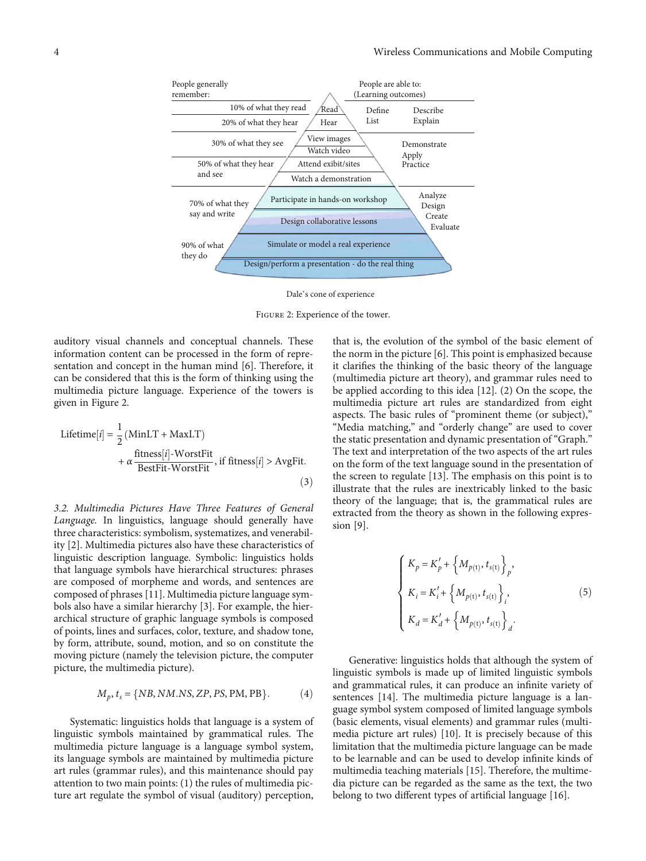

Dale's cone of experience

Figure 2: Experience of the tower.

auditory visual channels and conceptual channels. These information content can be processed in the form of representation and concept in the human mind [[6](#page-9-0)]. Therefore, it can be considered that this is the form of thinking using the multimedia picture language. Experience of the towers is given in Figure 2.

Lifetime[i] = 
$$
\frac{1}{2} \left( \text{MinLT} + \text{MaxLT} \right)
$$

\n
$$
+ \alpha \frac{\text{fitness}[i] - \text{WorstFit}}{\text{BestFit} - \text{WorstFit}}, \text{ if fitness}[i] > \text{AvgFit}.
$$

\n(3)

3.2. Multimedia Pictures Have Three Features of General Language. In linguistics, language should generally have three characteristics: symbolism, systematizes, and venerability [\[2\]](#page-9-0). Multimedia pictures also have these characteristics of linguistic description language. Symbolic: linguistics holds that language symbols have hierarchical structures: phrases are composed of morpheme and words, and sentences are composed of phrases [[11\]](#page-10-0). Multimedia picture language symbols also have a similar hierarchy [\[3\]](#page-9-0). For example, the hierarchical structure of graphic language symbols is composed of points, lines and surfaces, color, texture, and shadow tone, by form, attribute, sound, motion, and so on constitute the moving picture (namely the television picture, the computer picture, the multimedia picture).

$$
M_p, t_s = \{NB, NM.NS, ZP, PS, PM, PB\}.
$$
 (4)

Systematic: linguistics holds that language is a system of linguistic symbols maintained by grammatical rules. The multimedia picture language is a language symbol system, its language symbols are maintained by multimedia picture art rules (grammar rules), and this maintenance should pay attention to two main points: (1) the rules of multimedia picture art regulate the symbol of visual (auditory) perception, that is, the evolution of the symbol of the basic element of the norm in the picture [\[6\]](#page-9-0). This point is emphasized because it clarifies the thinking of the basic theory of the language (multimedia picture art theory), and grammar rules need to be applied according to this idea [\[12](#page-10-0)]. (2) On the scope, the multimedia picture art rules are standardized from eight aspects. The basic rules of "prominent theme (or subject)," "Media matching," and "orderly change" are used to cover the static presentation and dynamic presentation of "Graph." The text and interpretation of the two aspects of the art rules on the form of the text language sound in the presentation of the screen to regulate [\[13\]](#page-10-0). The emphasis on this point is to illustrate that the rules are inextricably linked to the basic theory of the language; that is, the grammatical rules are extracted from the theory as shown in the following expression [[9\]](#page-10-0).

$$
\begin{cases}\nK_p = K'_p + \left\{ M_{p(t)}, t_{s(t)} \right\}_p, \\
K_i = K'_i + \left\{ M_{p(t)}, t_{s(t)} \right\}_i, \\
K_d = K'_d + \left\{ M_{p(t)}, t_{s(t)} \right\}_d.\n\end{cases}
$$
\n(5)

Generative: linguistics holds that although the system of linguistic symbols is made up of limited linguistic symbols and grammatical rules, it can produce an infinite variety of sentences [\[14](#page-10-0)]. The multimedia picture language is a language symbol system composed of limited language symbols (basic elements, visual elements) and grammar rules (multimedia picture art rules) [[10](#page-10-0)]. It is precisely because of this limitation that the multimedia picture language can be made to be learnable and can be used to develop infinite kinds of multimedia teaching materials [\[15\]](#page-10-0). Therefore, the multimedia picture can be regarded as the same as the text, the two belong to two different types of artificial language [[16](#page-10-0)].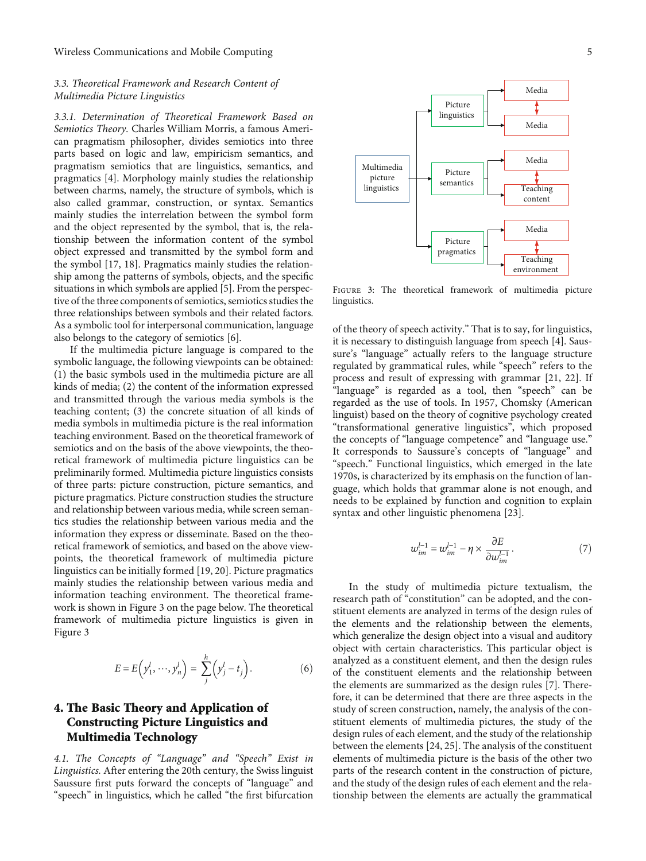#### <span id="page-4-0"></span>3.3. Theoretical Framework and Research Content of Multimedia Picture Linguistics

3.3.1. Determination of Theoretical Framework Based on Semiotics Theory. Charles William Morris, a famous American pragmatism philosopher, divides semiotics into three parts based on logic and law, empiricism semantics, and pragmatism semiotics that are linguistics, semantics, and pragmatics [\[4](#page-9-0)]. Morphology mainly studies the relationship between charms, namely, the structure of symbols, which is also called grammar, construction, or syntax. Semantics mainly studies the interrelation between the symbol form and the object represented by the symbol, that is, the relationship between the information content of the symbol object expressed and transmitted by the symbol form and the symbol [[17](#page-10-0), [18\]](#page-10-0). Pragmatics mainly studies the relationship among the patterns of symbols, objects, and the specific situations in which symbols are applied [[5](#page-9-0)]. From the perspective of the three components of semiotics, semiotics studies the three relationships between symbols and their related factors. As a symbolic tool for interpersonal communication, language also belongs to the category of semiotics [\[6\]](#page-9-0).

If the multimedia picture language is compared to the symbolic language, the following viewpoints can be obtained: (1) the basic symbols used in the multimedia picture are all kinds of media; (2) the content of the information expressed and transmitted through the various media symbols is the teaching content; (3) the concrete situation of all kinds of media symbols in multimedia picture is the real information teaching environment. Based on the theoretical framework of semiotics and on the basis of the above viewpoints, the theoretical framework of multimedia picture linguistics can be preliminarily formed. Multimedia picture linguistics consists of three parts: picture construction, picture semantics, and picture pragmatics. Picture construction studies the structure and relationship between various media, while screen semantics studies the relationship between various media and the information they express or disseminate. Based on the theoretical framework of semiotics, and based on the above viewpoints, the theoretical framework of multimedia picture linguistics can be initially formed [[19](#page-10-0), [20](#page-10-0)]. Picture pragmatics mainly studies the relationship between various media and information teaching environment. The theoretical framework is shown in Figure 3 on the page below. The theoretical framework of multimedia picture linguistics is given in Figure 3

$$
E = E\left(y_1^l, \dots, y_n^l\right) = \sum_j^h \left(y_j^l - t_j\right). \tag{6}
$$

## 4. The Basic Theory and Application of Constructing Picture Linguistics and Multimedia Technology

4.1. The Concepts of "Language" and "Speech" Exist in Linguistics. After entering the 20th century, the Swiss linguist Saussure first puts forward the concepts of "language" and "speech" in linguistics, which he called "the first bifurcation



Figure 3: The theoretical framework of multimedia picture linguistics.

of the theory of speech activity." That is to say, for linguistics, it is necessary to distinguish language from speech [[4](#page-9-0)]. Saussure's "language" actually refers to the language structure regulated by grammatical rules, while "speech" refers to the process and result of expressing with grammar [\[21, 22](#page-10-0)]. If "language" is regarded as a tool, then "speech" can be regarded as the use of tools. In 1957, Chomsky (American linguist) based on the theory of cognitive psychology created "transformational generative linguistics", which proposed the concepts of "language competence" and "language use." It corresponds to Saussure's concepts of "language" and "speech." Functional linguistics, which emerged in the late 1970s, is characterized by its emphasis on the function of language, which holds that grammar alone is not enough, and needs to be explained by function and cognition to explain syntax and other linguistic phenomena [[23](#page-10-0)].

$$
\omega_{im}^{l-1} = \omega_{im}^{l-1} - \eta \times \frac{\partial E}{\partial \omega_{im}^{l-1}}.
$$
\n(7)

In the study of multimedia picture textualism, the research path of "constitution" can be adopted, and the constituent elements are analyzed in terms of the design rules of the elements and the relationship between the elements, which generalize the design object into a visual and auditory object with certain characteristics. This particular object is analyzed as a constituent element, and then the design rules of the constituent elements and the relationship between the elements are summarized as the design rules [[7\]](#page-9-0). Therefore, it can be determined that there are three aspects in the study of screen construction, namely, the analysis of the constituent elements of multimedia pictures, the study of the design rules of each element, and the study of the relationship between the elements [[24, 25](#page-10-0)]. The analysis of the constituent elements of multimedia picture is the basis of the other two parts of the research content in the construction of picture, and the study of the design rules of each element and the relationship between the elements are actually the grammatical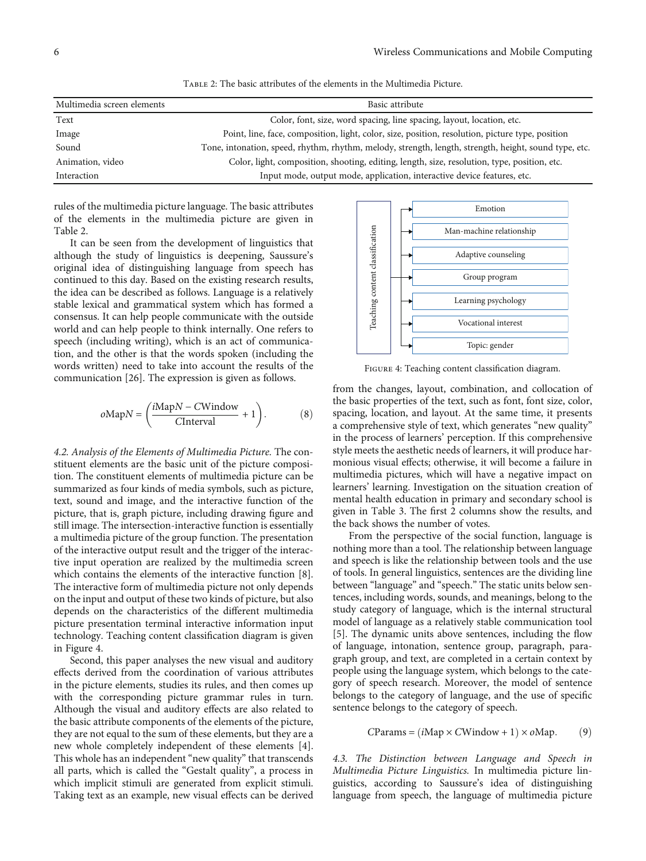| Multimedia screen elements | Basic attribute                                                                                       |
|----------------------------|-------------------------------------------------------------------------------------------------------|
| Text                       | Color, font, size, word spacing, line spacing, layout, location, etc.                                 |
| Image                      | Point, line, face, composition, light, color, size, position, resolution, picture type, position      |
| Sound                      | Tone, intonation, speed, rhythm, rhythm, melody, strength, length, strength, height, sound type, etc. |
| Animation, video           | Color, light, composition, shooting, editing, length, size, resolution, type, position, etc.          |
| Interaction                | Input mode, output mode, application, interactive device features, etc.                               |

Table 2: The basic attributes of the elements in the Multimedia Picture.

rules of the multimedia picture language. The basic attributes of the elements in the multimedia picture are given in Table 2.

It can be seen from the development of linguistics that although the study of linguistics is deepening, Saussure's original idea of distinguishing language from speech has continued to this day. Based on the existing research results, the idea can be described as follows. Language is a relatively stable lexical and grammatical system which has formed a consensus. It can help people communicate with the outside world and can help people to think internally. One refers to speech (including writing), which is an act of communication, and the other is that the words spoken (including the words written) need to take into account the results of the communication [\[26](#page-10-0)]. The expression is given as follows.

$$
o\text{Map}N = \left(\frac{i\text{Map}N - \text{CWindow}}{\text{CInterval}} + 1\right). \tag{8}
$$

4.2. Analysis of the Elements of Multimedia Picture. The constituent elements are the basic unit of the picture composition. The constituent elements of multimedia picture can be summarized as four kinds of media symbols, such as picture, text, sound and image, and the interactive function of the picture, that is, graph picture, including drawing figure and still image. The intersection-interactive function is essentially a multimedia picture of the group function. The presentation of the interactive output result and the trigger of the interactive input operation are realized by the multimedia screen which contains the elements of the interactive function [[8](#page-9-0)]. The interactive form of multimedia picture not only depends on the input and output of these two kinds of picture, but also depends on the characteristics of the different multimedia picture presentation terminal interactive information input technology. Teaching content classification diagram is given in Figure 4.

Second, this paper analyses the new visual and auditory effects derived from the coordination of various attributes in the picture elements, studies its rules, and then comes up with the corresponding picture grammar rules in turn. Although the visual and auditory effects are also related to the basic attribute components of the elements of the picture, they are not equal to the sum of these elements, but they are a new whole completely independent of these elements [[4](#page-9-0)]. This whole has an independent "new quality" that transcends all parts, which is called the "Gestalt quality", a process in which implicit stimuli are generated from explicit stimuli. Taking text as an example, new visual effects can be derived



Figure 4: Teaching content classification diagram.

from the changes, layout, combination, and collocation of the basic properties of the text, such as font, font size, color, spacing, location, and layout. At the same time, it presents a comprehensive style of text, which generates "new quality" in the process of learners' perception. If this comprehensive style meets the aesthetic needs of learners, it will produce harmonious visual effects; otherwise, it will become a failure in multimedia pictures, which will have a negative impact on learners' learning. Investigation on the situation creation of mental health education in primary and secondary school is given in Table [3](#page-6-0). The first 2 columns show the results, and the back shows the number of votes.

From the perspective of the social function, language is nothing more than a tool. The relationship between language and speech is like the relationship between tools and the use of tools. In general linguistics, sentences are the dividing line between "language" and "speech." The static units below sentences, including words, sounds, and meanings, belong to the study category of language, which is the internal structural model of language as a relatively stable communication tool [\[5](#page-9-0)]. The dynamic units above sentences, including the flow of language, intonation, sentence group, paragraph, paragraph group, and text, are completed in a certain context by people using the language system, which belongs to the category of speech research. Moreover, the model of sentence belongs to the category of language, and the use of specific sentence belongs to the category of speech.

$$
CParameters = (iMap \times CWindow + 1) \times oMap.
$$
 (9)

4.3. The Distinction between Language and Speech in Multimedia Picture Linguistics. In multimedia picture linguistics, according to Saussure's idea of distinguishing language from speech, the language of multimedia picture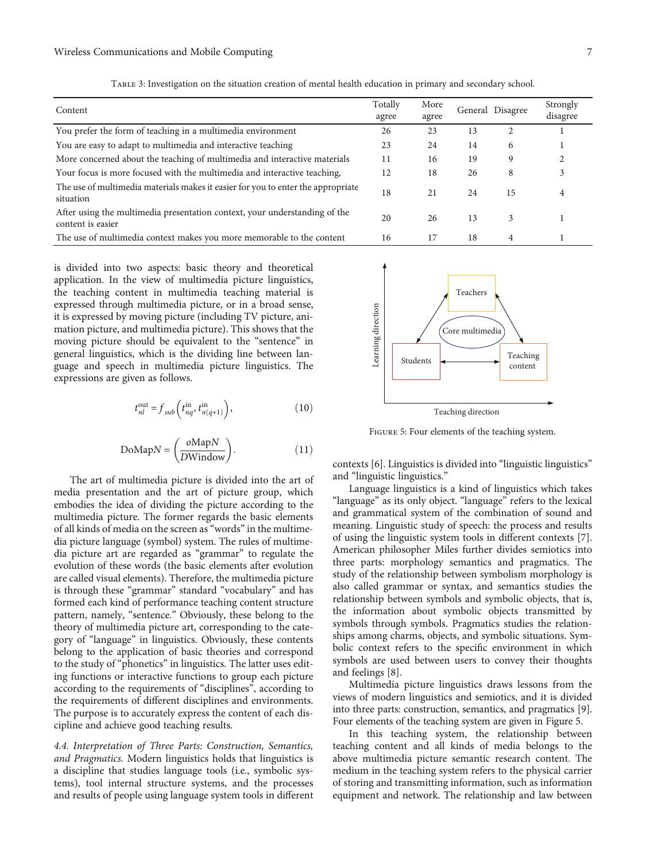<span id="page-6-0"></span>

| Content                                                                                         | Totally<br>agree | More<br>agree |    | General Disagree | Strongly<br>disagree |
|-------------------------------------------------------------------------------------------------|------------------|---------------|----|------------------|----------------------|
| You prefer the form of teaching in a multimedia environment                                     | 26               | 23            | 13 | 2                |                      |
| You are easy to adapt to multimedia and interactive teaching                                    | 23               | 24            | 14 | 6                |                      |
| More concerned about the teaching of multimedia and interactive materials                       | 11               | 16            | 19 | 9                |                      |
| Your focus is more focused with the multimedia and interactive teaching,                        | 12               | 18            | 26 | 8                | 3                    |
| The use of multimedia materials makes it easier for you to enter the appropriate<br>situation   | 18               | 21            | 24 | 15               | 4                    |
| After using the multimedia presentation context, your understanding of the<br>content is easier | 20               | 26            | 13 | 3                |                      |
| The use of multimedia context makes you more memorable to the content                           | 16               | 17            | 18 | 4                |                      |

Table 3: Investigation on the situation creation of mental health education in primary and secondary school.

is divided into two aspects: basic theory and theoretical application. In the view of multimedia picture linguistics, the teaching content in multimedia teaching material is expressed through multimedia picture, or in a broad sense, it is expressed by moving picture (including TV picture, animation picture, and multimedia picture). This shows that the moving picture should be equivalent to the "sentence" in general linguistics, which is the dividing line between language and speech in multimedia picture linguistics. The expressions are given as follows.

$$
t_{nl}^{\text{out}} = f_{sub} \left( t_{nq}^{\text{in}}, t_{n(q+1)}^{\text{in}} \right), \tag{10}
$$

$$
DoMapN = \left(\frac{oMapN}{DWindow}\right). \tag{11}
$$

The art of multimedia picture is divided into the art of media presentation and the art of picture group, which embodies the idea of dividing the picture according to the multimedia picture. The former regards the basic elements of all kinds of media on the screen as "words" in the multimedia picture language (symbol) system. The rules of multimedia picture art are regarded as "grammar" to regulate the evolution of these words (the basic elements after evolution are called visual elements). Therefore, the multimedia picture is through these "grammar" standard "vocabulary" and has formed each kind of performance teaching content structure pattern, namely, "sentence." Obviously, these belong to the theory of multimedia picture art, corresponding to the category of "language" in linguistics. Obviously, these contents belong to the application of basic theories and correspond to the study of "phonetics" in linguistics. The latter uses editing functions or interactive functions to group each picture according to the requirements of "disciplines", according to the requirements of different disciplines and environments. The purpose is to accurately express the content of each discipline and achieve good teaching results.

4.4. Interpretation of Three Parts: Construction, Semantics, and Pragmatics. Modern linguistics holds that linguistics is a discipline that studies language tools (i.e., symbolic systems), tool internal structure systems, and the processes and results of people using language system tools in different



Figure 5: Four elements of the teaching system.

contexts [[6\]](#page-9-0). Linguistics is divided into "linguistic linguistics" and "linguistic linguistics."

Language linguistics is a kind of linguistics which takes "language" as its only object. "language" refers to the lexical and grammatical system of the combination of sound and meaning. Linguistic study of speech: the process and results of using the linguistic system tools in different contexts [[7](#page-9-0)]. American philosopher Miles further divides semiotics into three parts: morphology semantics and pragmatics. The study of the relationship between symbolism morphology is also called grammar or syntax, and semantics studies the relationship between symbols and symbolic objects, that is, the information about symbolic objects transmitted by symbols through symbols. Pragmatics studies the relationships among charms, objects, and symbolic situations. Symbolic context refers to the specific environment in which symbols are used between users to convey their thoughts and feelings [[8\]](#page-9-0).

Multimedia picture linguistics draws lessons from the views of modern linguistics and semiotics, and it is divided into three parts: construction, semantics, and pragmatics [[9](#page-10-0)]. Four elements of the teaching system are given in Figure 5.

In this teaching system, the relationship between teaching content and all kinds of media belongs to the above multimedia picture semantic research content. The medium in the teaching system refers to the physical carrier of storing and transmitting information, such as information equipment and network. The relationship and law between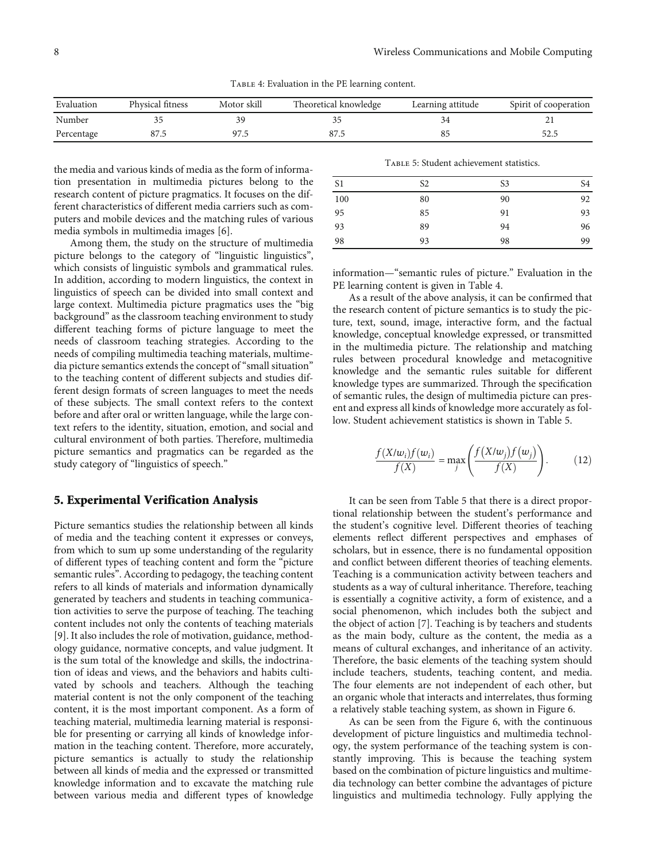Table 4: Evaluation in the PE learning content.

| Evaluation | Physical fitness | Motor skill | Theoretical knowledge | Learning attitude | Spirit of cooperation |
|------------|------------------|-------------|-----------------------|-------------------|-----------------------|
| Number     |                  |             |                       |                   |                       |
| Percentage |                  | 97.5        |                       |                   |                       |

the media and various kinds of media as the form of information presentation in multimedia pictures belong to the research content of picture pragmatics. It focuses on the different characteristics of different media carriers such as computers and mobile devices and the matching rules of various media symbols in multimedia images [[6](#page-9-0)].

Among them, the study on the structure of multimedia picture belongs to the category of "linguistic linguistics", which consists of linguistic symbols and grammatical rules. In addition, according to modern linguistics, the context in linguistics of speech can be divided into small context and large context. Multimedia picture pragmatics uses the "big background" as the classroom teaching environment to study different teaching forms of picture language to meet the needs of classroom teaching strategies. According to the needs of compiling multimedia teaching materials, multimedia picture semantics extends the concept of "small situation" to the teaching content of different subjects and studies different design formats of screen languages to meet the needs of these subjects. The small context refers to the context before and after oral or written language, while the large context refers to the identity, situation, emotion, and social and cultural environment of both parties. Therefore, multimedia picture semantics and pragmatics can be regarded as the study category of "linguistics of speech."

#### 5. Experimental Verification Analysis

Picture semantics studies the relationship between all kinds of media and the teaching content it expresses or conveys, from which to sum up some understanding of the regularity of different types of teaching content and form the "picture semantic rules". According to pedagogy, the teaching content refers to all kinds of materials and information dynamically generated by teachers and students in teaching communication activities to serve the purpose of teaching. The teaching content includes not only the contents of teaching materials [\[9](#page-10-0)]. It also includes the role of motivation, guidance, methodology guidance, normative concepts, and value judgment. It is the sum total of the knowledge and skills, the indoctrination of ideas and views, and the behaviors and habits cultivated by schools and teachers. Although the teaching material content is not the only component of the teaching content, it is the most important component. As a form of teaching material, multimedia learning material is responsible for presenting or carrying all kinds of knowledge information in the teaching content. Therefore, more accurately, picture semantics is actually to study the relationship between all kinds of media and the expressed or transmitted knowledge information and to excavate the matching rule between various media and different types of knowledge Table 5: Student achievement statistics.

| S <sub>1</sub> | S <sub>2</sub> | S <sub>3</sub> | S <sub>4</sub> |
|----------------|----------------|----------------|----------------|
| 100            | 80             | 90             | 92             |
| 95             | 85             | 91             | 93             |
| 93             | 89             | 94             | 96             |
| 98             | 93             | 98             | 99             |

information—"semantic rules of picture." Evaluation in the PE learning content is given in Table 4.

As a result of the above analysis, it can be confirmed that the research content of picture semantics is to study the picture, text, sound, image, interactive form, and the factual knowledge, conceptual knowledge expressed, or transmitted in the multimedia picture. The relationship and matching rules between procedural knowledge and metacognitive knowledge and the semantic rules suitable for different knowledge types are summarized. Through the specification of semantic rules, the design of multimedia picture can present and express all kinds of knowledge more accurately as follow. Student achievement statistics is shown in Table 5.

$$
\frac{f(X/w_i)f(w_i)}{f(X)} = \max_j \left(\frac{f(X/w_j)f(w_j)}{f(X)}\right). \tag{12}
$$

It can be seen from Table 5 that there is a direct proportional relationship between the student's performance and the student's cognitive level. Different theories of teaching elements reflect different perspectives and emphases of scholars, but in essence, there is no fundamental opposition and conflict between different theories of teaching elements. Teaching is a communication activity between teachers and students as a way of cultural inheritance. Therefore, teaching is essentially a cognitive activity, a form of existence, and a social phenomenon, which includes both the subject and the object of action [\[7](#page-9-0)]. Teaching is by teachers and students as the main body, culture as the content, the media as a means of cultural exchanges, and inheritance of an activity. Therefore, the basic elements of the teaching system should include teachers, students, teaching content, and media. The four elements are not independent of each other, but an organic whole that interacts and interrelates, thus forming a relatively stable teaching system, as shown in Figure [6](#page-8-0).

As can be seen from the Figure [6](#page-8-0), with the continuous development of picture linguistics and multimedia technology, the system performance of the teaching system is constantly improving. This is because the teaching system based on the combination of picture linguistics and multimedia technology can better combine the advantages of picture linguistics and multimedia technology. Fully applying the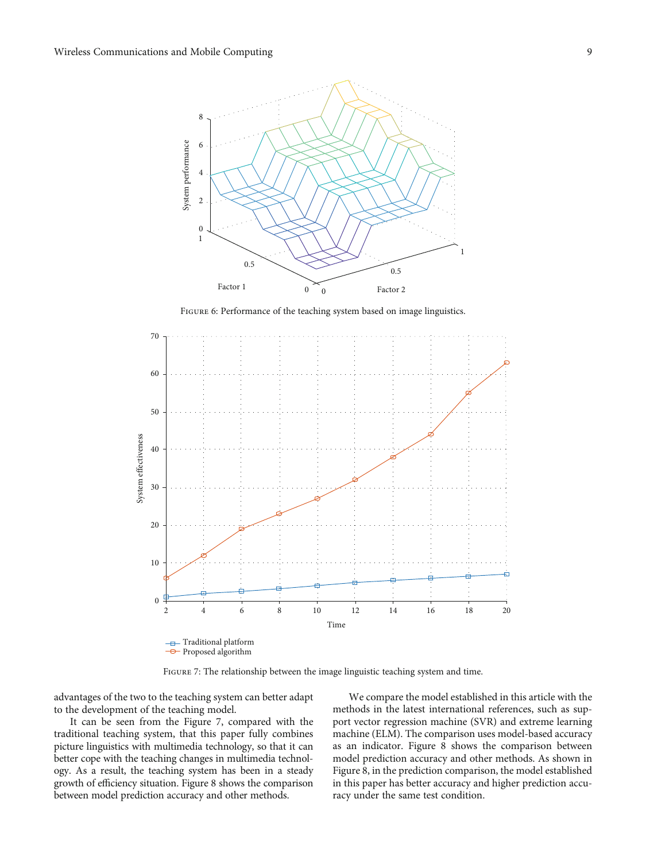<span id="page-8-0"></span>

Figure 6: Performance of the teaching system based on image linguistics.



FIGURE 7: The relationship between the image linguistic teaching system and time.

advantages of the two to the teaching system can better adapt to the development of the teaching model.

It can be seen from the Figure 7, compared with the traditional teaching system, that this paper fully combines picture linguistics with multimedia technology, so that it can better cope with the teaching changes in multimedia technology. As a result, the teaching system has been in a steady growth of efficiency situation. Figure [8](#page-9-0) shows the comparison between model prediction accuracy and other methods.

We compare the model established in this article with the methods in the latest international references, such as support vector regression machine (SVR) and extreme learning machine (ELM). The comparison uses model-based accuracy as an indicator. Figure [8](#page-9-0) shows the comparison between model prediction accuracy and other methods. As shown in Figure [8](#page-9-0), in the prediction comparison, the model established in this paper has better accuracy and higher prediction accuracy under the same test condition.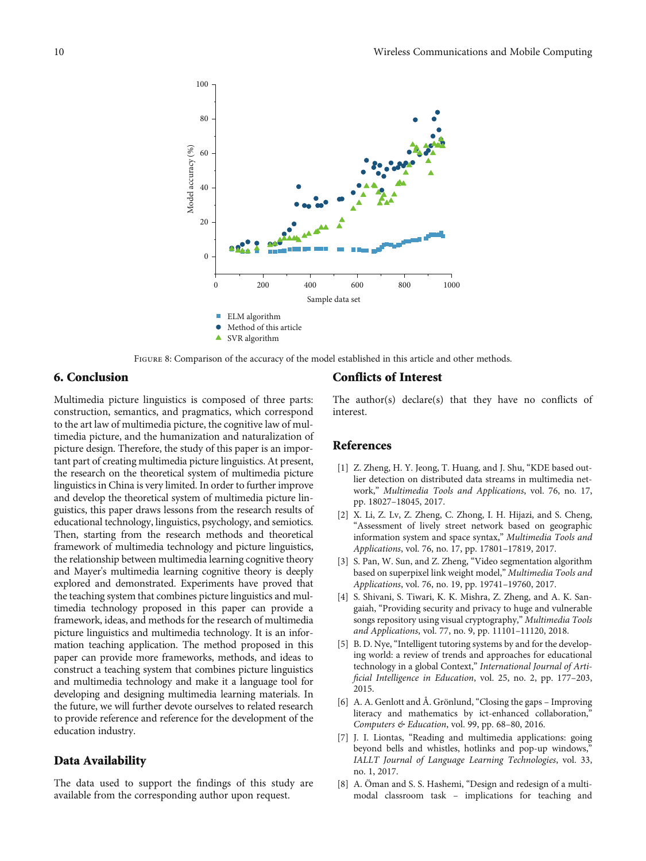<span id="page-9-0"></span>

Figure 8: Comparison of the accuracy of the model established in this article and other methods.

## 6. Conclusion

Multimedia picture linguistics is composed of three parts: construction, semantics, and pragmatics, which correspond to the art law of multimedia picture, the cognitive law of multimedia picture, and the humanization and naturalization of picture design. Therefore, the study of this paper is an important part of creating multimedia picture linguistics. At present, the research on the theoretical system of multimedia picture linguistics in China is very limited. In order to further improve and develop the theoretical system of multimedia picture linguistics, this paper draws lessons from the research results of educational technology, linguistics, psychology, and semiotics. Then, starting from the research methods and theoretical framework of multimedia technology and picture linguistics, the relationship between multimedia learning cognitive theory and Mayer's multimedia learning cognitive theory is deeply explored and demonstrated. Experiments have proved that the teaching system that combines picture linguistics and multimedia technology proposed in this paper can provide a framework, ideas, and methods for the research of multimedia picture linguistics and multimedia technology. It is an information teaching application. The method proposed in this paper can provide more frameworks, methods, and ideas to construct a teaching system that combines picture linguistics and multimedia technology and make it a language tool for developing and designing multimedia learning materials. In the future, we will further devote ourselves to related research to provide reference and reference for the development of the education industry.

#### Data Availability

The data used to support the findings of this study are available from the corresponding author upon request.

#### Conflicts of Interest

The author(s) declare(s) that they have no conflicts of interest.

### References

- [1] Z. Zheng, H. Y. Jeong, T. Huang, and J. Shu, "KDE based outlier detection on distributed data streams in multimedia network," Multimedia Tools and Applications, vol. 76, no. 17, pp. 18027–18045, 2017.
- [2] X. Li, Z. Lv, Z. Zheng, C. Zhong, I. H. Hijazi, and S. Cheng, "Assessment of lively street network based on geographic information system and space syntax," Multimedia Tools and Applications, vol. 76, no. 17, pp. 17801–17819, 2017.
- [3] S. Pan, W. Sun, and Z. Zheng, "Video segmentation algorithm based on superpixel link weight model," Multimedia Tools and Applications, vol. 76, no. 19, pp. 19741–19760, 2017.
- [4] S. Shivani, S. Tiwari, K. K. Mishra, Z. Zheng, and A. K. Sangaiah, "Providing security and privacy to huge and vulnerable songs repository using visual cryptography," Multimedia Tools and Applications, vol. 77, no. 9, pp. 11101–11120, 2018.
- [5] B. D. Nye, "Intelligent tutoring systems by and for the developing world: a review of trends and approaches for educational technology in a global Context," International Journal of Artificial Intelligence in Education, vol. 25, no. 2, pp. 177–203, 2015.
- [6] A. A. Genlott and Å. Grönlund, "Closing the gaps Improving literacy and mathematics by ict-enhanced collaboration," Computers & Education, vol. 99, pp. 68–80, 2016.
- [7] J. I. Liontas, "Reading and multimedia applications: going beyond bells and whistles, hotlinks and pop-up windows," IALLT Journal of Language Learning Technologies, vol. 33, no. 1, 2017.
- [8] A. Öman and S. S. Hashemi, "Design and redesign of a multimodal classroom task – implications for teaching and